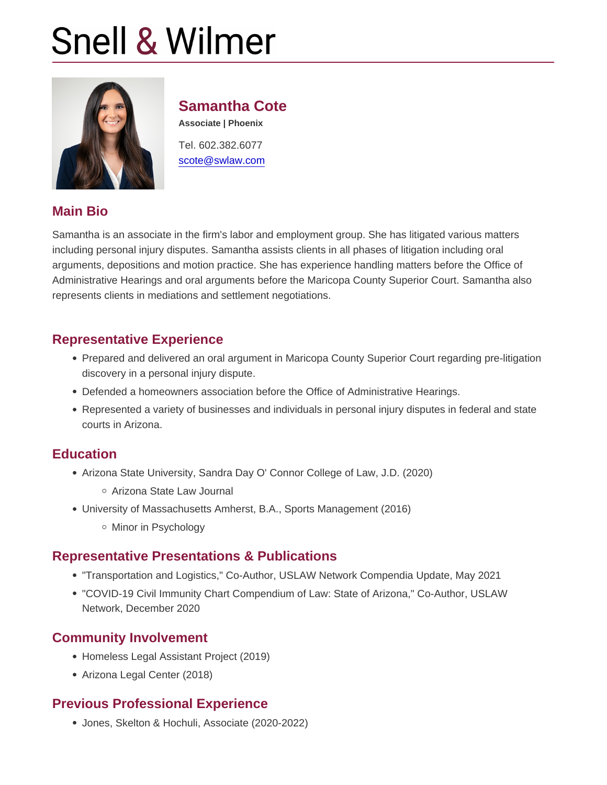## Samantha Cote

Associate | Phoenix

Tel. 602.382.6077 [scote@swlaw.com](mailto:scote@swlaw.com)

## Main Bio

Samantha is an associate in the firm's labor and employment group. She has litigated various matters including personal injury disputes. Samantha assists clients in all phases of litigation including oral arguments, depositions and motion practice. She has experience handling matters before the Office of Administrative Hearings and oral arguments before the Maricopa County Superior Court. Samantha also represents clients in mediations and settlement negotiations.

## Representative Experience

- Prepared and delivered an oral argument in Maricopa County Superior Court regarding pre-litigation discovery in a personal injury dispute.
- Defended a homeowners association before the Office of Administrative Hearings.
- Represented a variety of businesses and individuals in personal injury disputes in federal and state courts in Arizona.

#### **Education**

- Arizona State University, Sandra Day O' Connor College of Law, J.D. (2020)
	- Arizona State Law Journal
- University of Massachusetts Amherst, B.A., Sports Management (2016) o Minor in Psychology

#### Representative Presentations & Publications

- "Transportation and Logistics," Co-Author, USLAW Network Compendia Update, May 2021
- "COVID-19 Civil Immunity Chart Compendium of Law: State of Arizona," Co-Author, USLAW Network, December 2020

#### Community Involvement

- Homeless Legal Assistant Project (2019)
- Arizona Legal Center (2018)

#### Previous Professional Experience

Jones, Skelton & Hochuli, Associate (2020-2022)